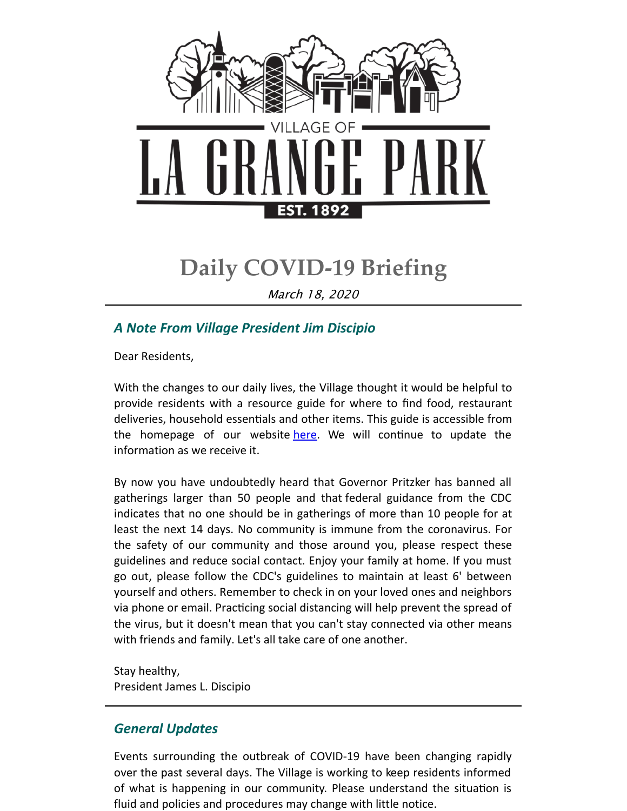

# **Daily COVID-19 Briefing**

March 18, 2020

## *A Note From Village President Jim Discipio*

Dear Residents,

With the changes to our daily lives, the Village thought it would be helpful to provide residents with a resource guide for where to find food, restaurant deliveries, household essentials and other items. This guide is accessible from the homepage of our website [here](http://www.lagrangepark.org/CivicAlerts.aspx?AID=194). We will continue to update the information as we receive it.

By now you have undoubtedly heard that Governor Pritzker has banned all gatherings larger than 50 people and that federal guidance from the CDC indicates that no one should be in gatherings of more than 10 people for at least the next 14 days. No community is immune from the coronavirus. For the safety of our community and those around you, please respect these guidelines and reduce social contact. Enjoy your family at home. If you must go out, please follow the CDC's guidelines to maintain at least 6' between yourself and others. Remember to check in on your loved ones and neighbors via phone or email. Practicing social distancing will help prevent the spread of the virus, but it doesn't mean that you can't stay connected via other means with friends and family. Let's all take care of one another.

Stay healthy, President James L. Discipio

### *General Updates*

Events surrounding the outbreak of COVID-19 have been changing rapidly over the past several days. The Village is working to keep residents informed of what is happening in our community. Please understand the situation is fluid and policies and procedures may change with little notice.